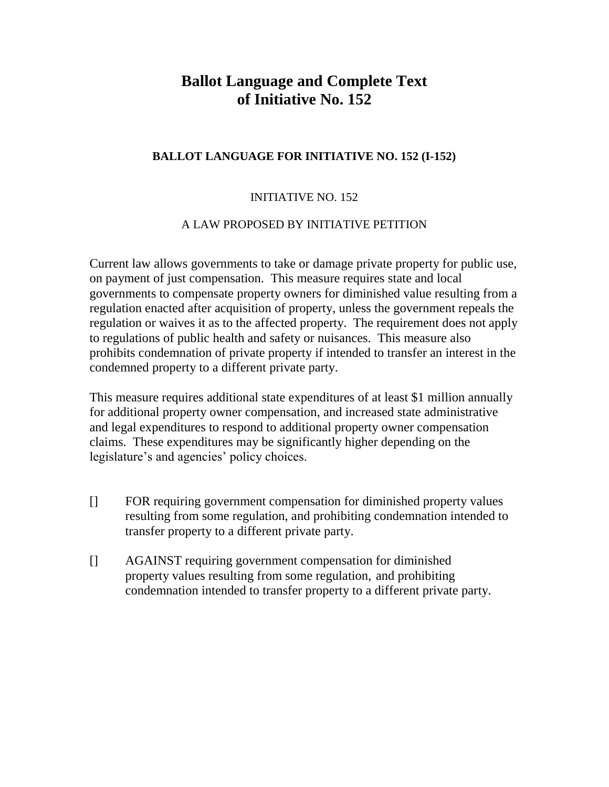# **Ballot Language and Complete Text of Initiative No. 152**

## **BALLOT LANGUAGE FOR INITIATIVE NO. 152 (I-152)**

## INITIATIVE NO. 152

#### A LAW PROPOSED BY INITIATIVE PETITION

Current law allows governments to take or damage private property for public use, on payment of just compensation. This measure requires state and local governments to compensate property owners for diminished value resulting from a regulation enacted after acquisition of property, unless the government repeals the regulation or waives it as to the affected property. The requirement does not apply to regulations of public health and safety or nuisances. This measure also prohibits condemnation of private property if intended to transfer an interest in the condemned property to a different private party.

This measure requires additional state expenditures of at least \$1 million annually for additional property owner compensation, and increased state administrative and legal expenditures to respond to additional property owner compensation claims. These expenditures may be significantly higher depending on the legislature's and agencies' policy choices.

- [] FOR requiring government compensation for diminished property values resulting from some regulation, and prohibiting condemnation intended to transfer property to a different private party.
- [] AGAINST requiring government compensation for diminished property values resulting from some regulation, and prohibiting condemnation intended to transfer property to a different private party.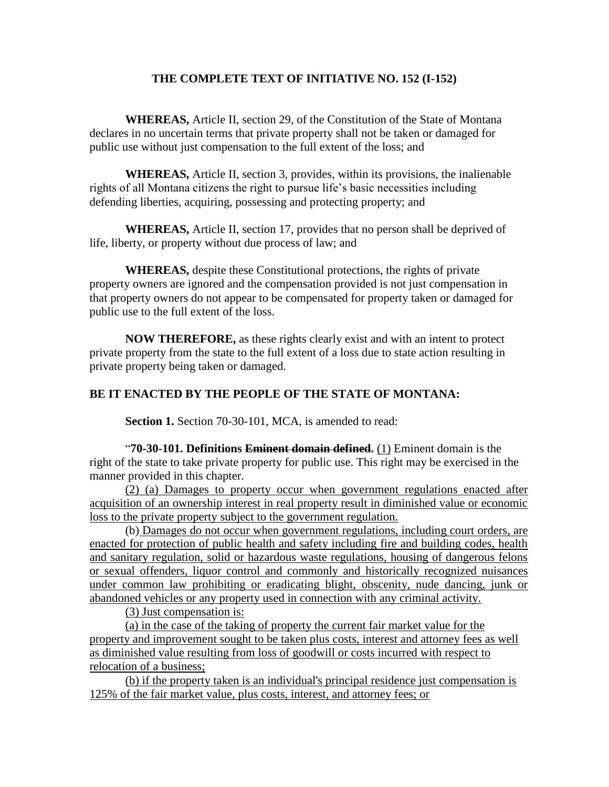#### **THE COMPLETE TEXT OF INITIATIVE NO. 152 (I-152)**

**WHEREAS,** Article II, section 29, of the Constitution of the State of Montana declares in no uncertain terms that private property shall not be taken or damaged for public use without just compensation to the full extent of the loss; and

**WHEREAS,** Article II, section 3, provides, within its provisions, the inalienable rights of all Montana citizens the right to pursue life's basic necessities including defending liberties, acquiring, possessing and protecting property; and

**WHEREAS,** Article II, section 17, provides that no person shall be deprived of life, liberty, or property without due process of law; and

**WHEREAS,** despite these Constitutional protections, the rights of private property owners are ignored and the compensation provided is not just compensation in that property owners do not appear to be compensated for property taken or damaged for public use to the full extent of the loss.

**NOW THEREFORE,** as these rights clearly exist and with an intent to protect private property from the state to the full extent of a loss due to state action resulting in private property being taken or damaged.

### **BE IT ENACTED BY THE PEOPLE OF THE STATE OF MONTANA:**

**Section 1.** Section 70-30-101, MCA, is amended to read:

"**70-30-101. Definitions Eminent domain defined.** (1) Eminent domain is the right of the state to take private property for public use. This right may be exercised in the manner provided in this chapter.

(2) (a) Damages to property occur when government regulations enacted after acquisition of an ownership interest in real property result in diminished value or economic loss to the private property subject to the government regulation.

(b) Damages do not occur when government regulations, including court orders, are enacted for protection of public health and safety including fire and building codes, health and sanitary regulation, solid or hazardous waste regulations, housing of dangerous felons or sexual offenders, liquor control and commonly and historically recognized nuisances under common law prohibiting or eradicating blight, obscenity, nude dancing, junk or abandoned vehicles or any property used in connection with any criminal activity.

(3) Just compensation is:

(a) in the case of the taking of property the current fair market value for the property and improvement sought to be taken plus costs, interest and attorney fees as well as diminished value resulting from loss of goodwill or costs incurred with respect to relocation of a business;

(b) if the property taken is an individual's principal residence just compensation is 125% of the fair market value, plus costs, interest, and attorney fees; or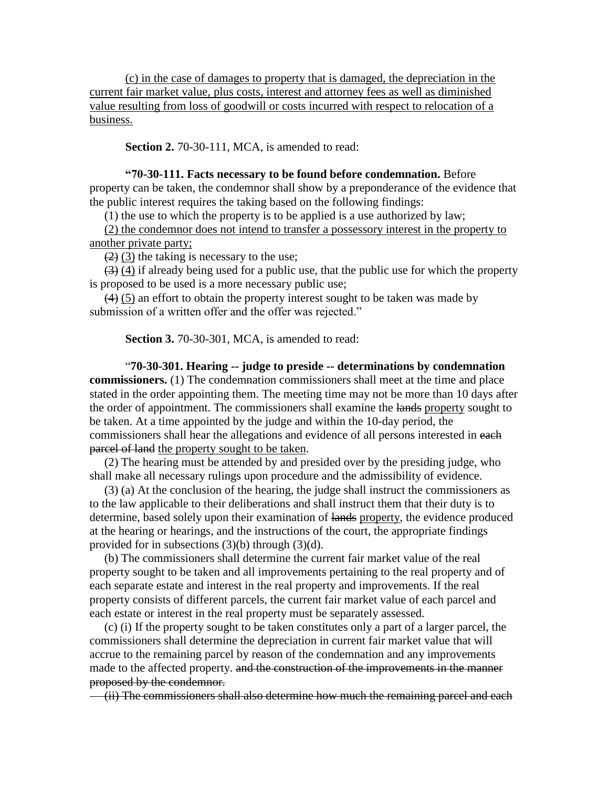(c) in the case of damages to property that is damaged, the depreciation in the current fair market value, plus costs, interest and attorney fees as well as diminished value resulting from loss of goodwill or costs incurred with respect to relocation of a business.

**Section 2.** 70-30-111, MCA, is amended to read:

#### **"70-30-111. Facts necessary to be found before condemnation.** Before property can be taken, the condemnor shall show by a preponderance of the evidence that the public interest requires the taking based on the following findings:

(1) the use to which the property is to be applied is a use authorized by law;

 (2) the condemnor does not intend to transfer a possessory interest in the property to another private party;

 $(2)$  (3) the taking is necessary to the use;

 (3) (4) if already being used for a public use, that the public use for which the property is proposed to be used is a more necessary public use;

 $(4)$  (5) an effort to obtain the property interest sought to be taken was made by submission of a written offer and the offer was rejected."

**Section 3.** 70-30-301, MCA, is amended to read:

"**70-30-301. Hearing -- judge to preside -- determinations by condemnation commissioners.** (1) The condemnation commissioners shall meet at the time and place stated in the order appointing them. The meeting time may not be more than 10 days after the order of appointment. The commissioners shall examine the lands property sought to be taken. At a time appointed by the judge and within the 10-day period, the commissioners shall hear the allegations and evidence of all persons interested in each parcel of land the property sought to be taken.

 (2) The hearing must be attended by and presided over by the presiding judge, who shall make all necessary rulings upon procedure and the admissibility of evidence.

 (3) (a) At the conclusion of the hearing, the judge shall instruct the commissioners as to the law applicable to their deliberations and shall instruct them that their duty is to determine, based solely upon their examination of lands property, the evidence produced at the hearing or hearings, and the instructions of the court, the appropriate findings provided for in subsections (3)(b) through (3)(d).

 (b) The commissioners shall determine the current fair market value of the real property sought to be taken and all improvements pertaining to the real property and of each separate estate and interest in the real property and improvements. If the real property consists of different parcels, the current fair market value of each parcel and each estate or interest in the real property must be separately assessed.

 (c) (i) If the property sought to be taken constitutes only a part of a larger parcel, the commissioners shall determine the depreciation in current fair market value that will accrue to the remaining parcel by reason of the condemnation and any improvements made to the affected property. and the construction of the improvements in the manner proposed by the condemnor.

(ii) The commissioners shall also determine how much the remaining parcel and each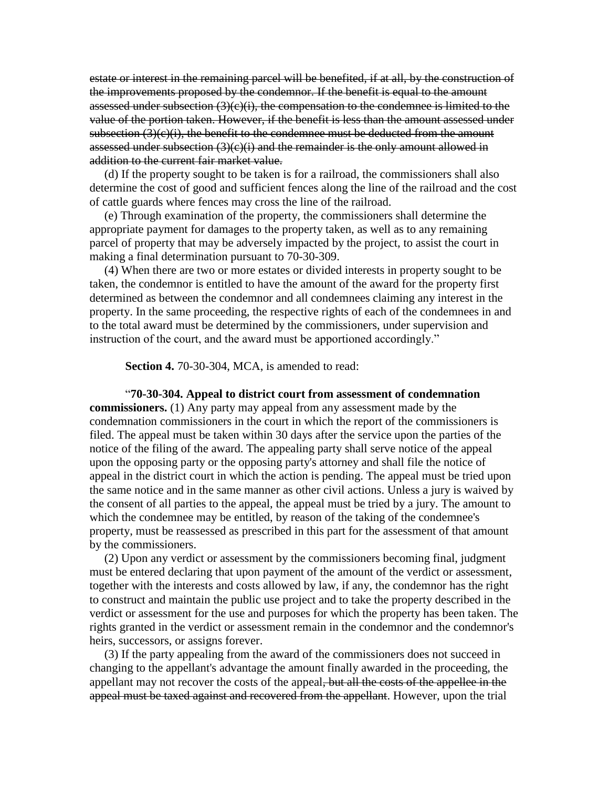estate or interest in the remaining parcel will be benefited, if at all, by the construction of the improvements proposed by the condemnor. If the benefit is equal to the amount assessed under subsection  $(3)(c)(i)$ , the compensation to the condemnee is limited to the value of the portion taken. However, if the benefit is less than the amount assessed under subsection  $(3)(c)(i)$ , the benefit to the condemnee must be deducted from the amount assessed under subsection  $(3)(c)(i)$  and the remainder is the only amount allowed in addition to the current fair market value.

 (d) If the property sought to be taken is for a railroad, the commissioners shall also determine the cost of good and sufficient fences along the line of the railroad and the cost of cattle guards where fences may cross the line of the railroad.

 (e) Through examination of the property, the commissioners shall determine the appropriate payment for damages to the property taken, as well as to any remaining parcel of property that may be adversely impacted by the project, to assist the court in making a final determination pursuant to 70-30-309.

 (4) When there are two or more estates or divided interests in property sought to be taken, the condemnor is entitled to have the amount of the award for the property first determined as between the condemnor and all condemnees claiming any interest in the property. In the same proceeding, the respective rights of each of the condemnees in and to the total award must be determined by the commissioners, under supervision and instruction of the court, and the award must be apportioned accordingly."

**Section 4.** 70-30-304, MCA, is amended to read:

"**70-30-304. Appeal to district court from assessment of condemnation commissioners.** (1) Any party may appeal from any assessment made by the condemnation commissioners in the court in which the report of the commissioners is filed. The appeal must be taken within 30 days after the service upon the parties of the notice of the filing of the award. The appealing party shall serve notice of the appeal upon the opposing party or the opposing party's attorney and shall file the notice of appeal in the district court in which the action is pending. The appeal must be tried upon the same notice and in the same manner as other civil actions. Unless a jury is waived by the consent of all parties to the appeal, the appeal must be tried by a jury. The amount to which the condemnee may be entitled, by reason of the taking of the condemnee's property, must be reassessed as prescribed in this part for the assessment of that amount by the commissioners.

 (2) Upon any verdict or assessment by the commissioners becoming final, judgment must be entered declaring that upon payment of the amount of the verdict or assessment, together with the interests and costs allowed by law, if any, the condemnor has the right to construct and maintain the public use project and to take the property described in the verdict or assessment for the use and purposes for which the property has been taken. The rights granted in the verdict or assessment remain in the condemnor and the condemnor's heirs, successors, or assigns forever.

 (3) If the party appealing from the award of the commissioners does not succeed in changing to the appellant's advantage the amount finally awarded in the proceeding, the appellant may not recover the costs of the appeal, but all the costs of the appellee in the appeal must be taxed against and recovered from the appellant. However, upon the trial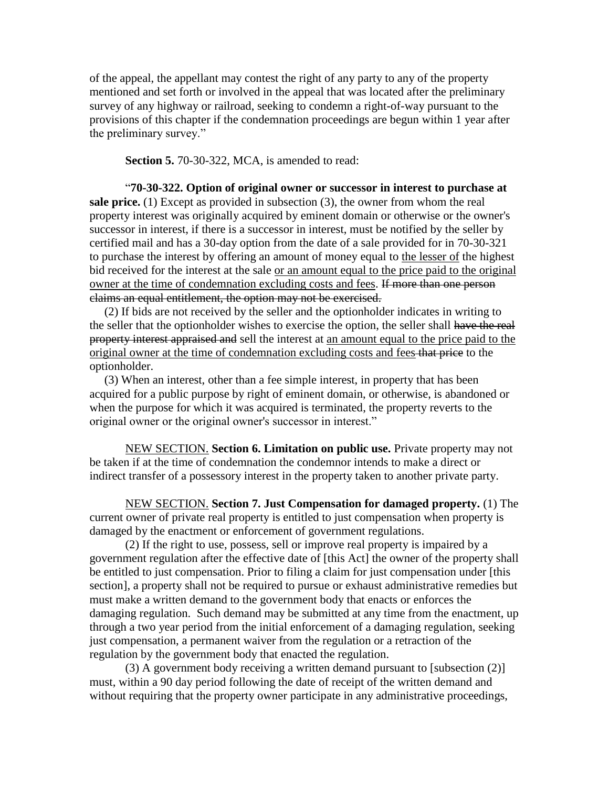of the appeal, the appellant may contest the right of any party to any of the property mentioned and set forth or involved in the appeal that was located after the preliminary survey of any highway or railroad, seeking to condemn a right-of-way pursuant to the provisions of this chapter if the condemnation proceedings are begun within 1 year after the preliminary survey."

**Section 5.** 70-30-322, MCA, is amended to read:

"**70-30-322. Option of original owner or successor in interest to purchase at sale price.** (1) Except as provided in subsection (3), the owner from whom the real property interest was originally acquired by eminent domain or otherwise or the owner's successor in interest, if there is a successor in interest, must be notified by the seller by certified mail and has a 30-day option from the date of a sale provided for in 70-30-321 to purchase the interest by offering an amount of money equal to the lesser of the highest bid received for the interest at the sale or an amount equal to the price paid to the original owner at the time of condemnation excluding costs and fees. If more than one person claims an equal entitlement, the option may not be exercised.

 (2) If bids are not received by the seller and the optionholder indicates in writing to the seller that the optionholder wishes to exercise the option, the seller shall have the real property interest appraised and sell the interest at an amount equal to the price paid to the original owner at the time of condemnation excluding costs and fees that price to the optionholder.

 (3) When an interest, other than a fee simple interest, in property that has been acquired for a public purpose by right of eminent domain, or otherwise, is abandoned or when the purpose for which it was acquired is terminated, the property reverts to the original owner or the original owner's successor in interest."

NEW SECTION. **Section 6. Limitation on public use.** Private property may not be taken if at the time of condemnation the condemnor intends to make a direct or indirect transfer of a possessory interest in the property taken to another private party.

NEW SECTION. **Section 7. Just Compensation for damaged property.** (1) The current owner of private real property is entitled to just compensation when property is damaged by the enactment or enforcement of government regulations.

(2) If the right to use, possess, sell or improve real property is impaired by a government regulation after the effective date of [this Act] the owner of the property shall be entitled to just compensation. Prior to filing a claim for just compensation under [this section], a property shall not be required to pursue or exhaust administrative remedies but must make a written demand to the government body that enacts or enforces the damaging regulation. Such demand may be submitted at any time from the enactment, up through a two year period from the initial enforcement of a damaging regulation, seeking just compensation, a permanent waiver from the regulation or a retraction of the regulation by the government body that enacted the regulation.

(3) A government body receiving a written demand pursuant to [subsection (2)] must, within a 90 day period following the date of receipt of the written demand and without requiring that the property owner participate in any administrative proceedings,